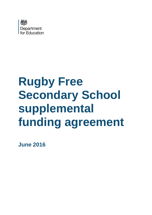

# **Rugby Free Secondary School supplemental funding agreement**

**June 2016**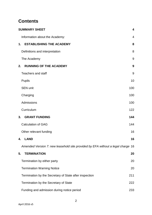# **Contents**

| <b>SUMMARY SHEET</b>                                                            | $\overline{\mathbf{4}}$ |
|---------------------------------------------------------------------------------|-------------------------|
| Information about the Academy:                                                  | 4                       |
| <b>ESTABLISHING THE ACADEMY</b><br>1.                                           | 8                       |
| Definitions and interpretation                                                  | 8                       |
| The Academy                                                                     | 9                       |
| <b>RUNNING OF THE ACADEMY</b><br>2.                                             | 9                       |
| <b>Teachers and staff</b>                                                       | 9                       |
| <b>Pupils</b>                                                                   | 10                      |
| <b>SEN unit</b>                                                                 | 100                     |
| Charging                                                                        | 100                     |
| Admissions                                                                      | 100                     |
| Curriculum                                                                      | 122                     |
| <b>GRANT FUNDING</b><br>3.                                                      | 144                     |
| <b>Calculation of GAG</b>                                                       | 144                     |
| Other relevant funding                                                          | 16                      |
| <b>LAND</b><br>4.                                                               | 16                      |
| Amended Version 7: new leasehold site provided by EFA without a legal charge 16 |                         |
| 5.<br><b>TERMINATION</b>                                                        | 20                      |
| Termination by either party                                                     | 20                      |
| <b>Termination Warning Notice</b>                                               | 20                      |
| Termination by the Secretary of State after inspection                          | 211                     |
| Termination by the Secretary of State                                           | 222                     |
| Funding and admission during notice period                                      | 233                     |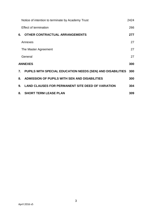|    | Notice of intention to terminate by Academy Trust          | 2424 |
|----|------------------------------------------------------------|------|
|    | <b>Effect of termination</b>                               | 266  |
| 6. | <b>OTHER CONTRACTUAL ARRANGEMENTS</b>                      | 277  |
|    | Annexes                                                    | 27   |
|    | The Master Agreement                                       | 27   |
|    | General                                                    | 27   |
|    | <b>ANNEXES</b>                                             | 300  |
| 7. | PUPILS WITH SPECIAL EDUCATION NEEDS (SEN) AND DISABILITIES | 300  |
| 8. | ADMISSION OF PUPILS WITH SEN AND DISABILITIES              | 300  |
| 9. | <b>LAND CLAUSES FOR PERMANENT SITE DEED OF VARIATION</b>   | 304  |
| 8. | <b>SHORT TERM LEASE PLAN</b>                               | 309  |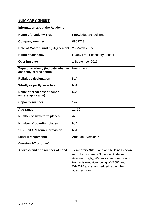# <span id="page-3-0"></span>**SUMMARY SHEET**

# <span id="page-3-1"></span>**Information about the Academy:**

| <b>Name of Academy Trust</b>                                 | Knowledge School Trust                                                                                                                                                                                                        |
|--------------------------------------------------------------|-------------------------------------------------------------------------------------------------------------------------------------------------------------------------------------------------------------------------------|
| <b>Company number</b>                                        | 09027131                                                                                                                                                                                                                      |
| Date of Master Funding Agreement                             | 23 March 2015                                                                                                                                                                                                                 |
| Name of academy                                              | <b>Rugby Free Secondary School</b>                                                                                                                                                                                            |
| <b>Opening date</b>                                          | 1 September 2016                                                                                                                                                                                                              |
| Type of academy (indicate whether<br>academy or free school) | free school                                                                                                                                                                                                                   |
| <b>Religious designation</b>                                 | N/A                                                                                                                                                                                                                           |
| Wholly or partly selective                                   | N/A                                                                                                                                                                                                                           |
| Name of predecessor school<br>(where applicable)             | N/A                                                                                                                                                                                                                           |
| <b>Capacity number</b>                                       | 1470                                                                                                                                                                                                                          |
| Age range                                                    | $11 - 19$                                                                                                                                                                                                                     |
| Number of sixth form places                                  | 420                                                                                                                                                                                                                           |
| <b>Number of boarding places</b>                             | N/A                                                                                                                                                                                                                           |
| <b>SEN unit / Resource provision</b>                         | N/A                                                                                                                                                                                                                           |
| <b>Land arrangements</b>                                     | <b>Amended Version 7</b>                                                                                                                                                                                                      |
| (Version 1-7 or other)                                       |                                                                                                                                                                                                                               |
| Address and title number of Land                             | Temporary Site: Land and buildings known<br>as Rokeby Primary School at Anderson<br>Avenue, Rugby, Warwickshire comprised in<br>two registered titles being WK2607 and<br>WK2375 and shown edged red on the<br>attached plan. |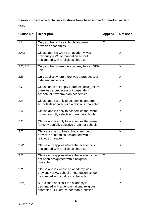# **Please confirm which clause variations have been applied or marked as 'Not used'**

| Clause No. | <b>Descriptor</b>                                                                                                                 | <b>Applied</b> | <b>Not used</b> |
|------------|-----------------------------------------------------------------------------------------------------------------------------------|----------------|-----------------|
| 1.1        | Only applies to free schools and new<br>provision academies                                                                       | X              |                 |
| 2.A.1      | Clause applies where an academy was<br>previously a VC or foundation school<br>designated with a religious character              |                | X               |
| 2.C, 2.D   | Only applies where the academy has an SEN<br>unit                                                                                 |                | X               |
| 2.E        | Only applies where there was a predecessor<br>independent school                                                                  |                | X               |
| 2.G        | Clause does not apply to free schools (unless)<br>there was a predecessor independent<br>school), or new provision academies      |                | $\sf X$         |
| 2.M        | Clause applies only to academies and free<br>schools designated with a religious character                                        |                | X               |
| 2.N        | Clause applies only to academies that were<br>formerly wholly selective grammar schools                                           |                | X               |
| 2.0        | Clause applies only to academies that were<br>formerly partially selective grammar schools                                        |                | X               |
| 2.7        | Clause applies to free schools and new<br>provision academies designated with a<br>religious character                            |                | X               |
| 2.W        | Clause only applies where the academy is<br>designated with a religious character                                                 |                | X               |
| 2.X        | Clause only applies where the academy has<br>not been designated with a religious<br>character                                    | X              |                 |
| 2.Y        | Clause applies where an academy was<br>previously a VC school or foundation school<br>designated with a religious character       |                | X               |
| 2.Yc)      | Sub-clause applies if the academy is<br>designated with a denominational religious<br>character - CE etc. rather than 'Christian' |                | X               |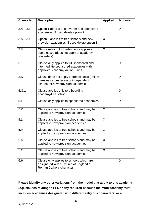| <b>Clause No.</b> | <b>Descriptor</b>                                                                                                           | <b>Applied</b> | Not used |
|-------------------|-----------------------------------------------------------------------------------------------------------------------------|----------------|----------|
| $3.A - 3.F$       | Option 1 applies to converter and sponsored<br>academies: if used delete option 2                                           |                | X        |
| $3.A - 3.F$       | Option 2 applies to free schools and new<br>provision academies: if used delete option 1                                    | X              |          |
| 3.H               | Clause relating to Start-up only applies in<br>some cases (does not apply to academy<br>converters)                         | X              |          |
| 3. J              | Clause only applies to full sponsored and<br>intermediate sponsored academies with<br>approved Academy Action Plans         |                | X        |
| 3.K               | Clause does not apply to free schools (unless<br>there was a predecessor independent<br>school), or new provision academies |                | X        |
| 5.G.1             | Clause applies only to a boarding<br>academy/free school.                                                                   |                | X        |
| 5.1               | Clause only applies to sponsored academies                                                                                  |                | X        |
| 5.K               | Clause applies to free schools and may be<br>applied to new provision academies                                             | X              |          |
| 5.L               | Clause applies to free schools and may be<br>applied to new provision academies                                             | X              |          |
| 5.M               | Clause applies to free schools and may be<br>applied to new provision academies                                             | X              |          |
| 5.N               | Clause applies to free schools and may be<br>applied to new provision academies                                             | X              |          |
| 5.0               | Clause applies to free schools and may be<br>applied to new provision academies                                             | X              |          |
| 6.H               | Clause only applies to schools which are<br>designated with a Church of England or<br>Roman Catholic character              |                | X        |

**Please identify any other variations from the model that apply to this academy (e.g. clauses relating to PFI, or any required because the multi academy trust includes academies designated with different religious characters, or a**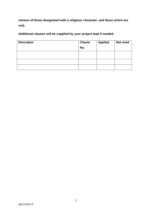**mixture of those designated with a religious character, and those which are not):**

**Additional clauses will be supplied by your project lead if needed.**

| <b>Descriptor</b> | <b>Clause</b> | <b>Applied</b> | Not used |
|-------------------|---------------|----------------|----------|
|                   | No.           |                |          |
|                   |               |                |          |
|                   |               |                |          |
|                   |               |                |          |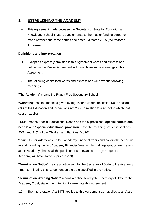# <span id="page-7-0"></span>**1. ESTABLISHING THE ACADEMY**

1.A This Agreement made between the Secretary of State for Education and Knowledge School Trust is supplemental to the master funding agreement made between the same parties and dated 23 March 2015 (the "**Master Agreement**").

# <span id="page-7-1"></span>**Definitions and interpretation**

- 1.B Except as expressly provided in this Agreement words and expressions defined in the Master Agreement will have those same meanings in this Agreement.
- 1.C The following capitalised words and expressions will have the following meanings:

"The **Academy**" means the Rugby Free Secondary School

**"Coasting"** has the meaning given by regulations under subsection (3) of section 60B of the Education and Inspections Act 2006 in relation to a school to which that section applies.

"**SEN**" means Special Educational Needs and the expressions "**special educational needs**" and "**special educational provision**" have the meaning set out in sections 20(1) and 21(2) of the Children and Families Act 2014.

"**Start-Up Period**" means up to 6 Academy Financial Years and covers the period up to and including the first Academy Financial Year in which all age groups are present at the Academy (that is, all the pupil cohorts relevant to the age range of the Academy will have some pupils present).

"**Termination Notice**" means a notice sent by the Secretary of State to the Academy Trust, terminating this Agreement on the date specified in the notice.

"**Termination Warning Notice**" means a notice sent by the Secretary of State to the Academy Trust, stating her intention to terminate this Agreement.

1.D The Interpretation Act 1978 applies to this Agreement as it applies to an Act of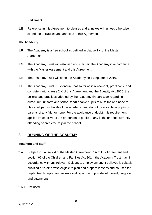Parliament.

1.E Reference in this Agreement to clauses and annexes will, unless otherwise stated, be to clauses and annexes to this Agreement.

## <span id="page-8-0"></span>**The Academy**

- 1.F The Academy is a free school as defined in clause 1.4 of the Master Agreement.
- 1.G The Academy Trust will establish and maintain the Academy in accordance with the Master Agreement and this Agreement.
- 1.H The Academy Trust will open the Academy on 1 September 2016.
- 1.I The Academy Trust must ensure that so far as is reasonably practicable and consistent with clause 2.X of this Agreement and the Equality Act 2010, the policies and practices adopted by the Academy (in particular regarding curriculum, uniform and school food) enable pupils of all faiths and none to play a full part in the life of the Academy, and do not disadvantage pupils or parents of any faith or none. For the avoidance of doubt, this requirement applies irrespective of the proportion of pupils of any faiths or none currently attending or predicted to join the school.

# <span id="page-8-1"></span>**2. RUNNING OF THE ACADEMY**

#### <span id="page-8-2"></span>**Teachers and staff**

- 2.A Subject to clause 2.4 of the Master Agreement, 7.A of this Agreement and section 67 of the Children and Families Act 2014, the Academy Trust may, in accordance with any relevant Guidance, employ anyone it believes is suitably qualified or is otherwise eligible to plan and prepare lessons and courses for pupils, teach pupils, and assess and report on pupils' development, progress and attainment.
- <span id="page-8-3"></span>2.A.1 Not used.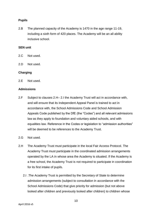## **Pupils**

2.B The planned capacity of the Academy is 1470 in the age range 11-19, including a sixth form of 420 places. The Academy will be an all ability inclusive school.

#### <span id="page-9-0"></span>**SEN unit**

- 2.C Not used.
- 2.D Not used.

#### <span id="page-9-1"></span>**Charging**

2.E Not used.

#### <span id="page-9-2"></span>**Admissions**

- 2.F Subject to clauses 2.H– 2.I the Academy Trust will act in accordance with, and will ensure that its Independent Appeal Panel is trained to act in accordance with, the School Admissions Code and School Admission Appeals Code published by the DfE (the "Codes") and all relevant admissions law as they apply to foundation and voluntary aided schools, and with equalities law. Reference in the Codes or legislation to "admission authorities" will be deemed to be references to the Academy Trust.
- 2.G Not used.
- 2.H The Academy Trust must participate in the local Fair Access Protocol. The Academy Trust must participate in the coordinated admission arrangements operated by the LA in whose area the Academy is situated. If the Academy is a free school, the Academy Trust is not required to participate in coordination for its first intake of pupils.
	- 2.I .The Academy Trust is permitted by the Secretary of State to determine admission arrangements (subject to consultation in accordance with the School Admissions Code) that give priority for admission (but not above looked after children and previously looked after children) to children whose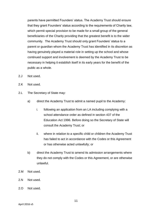parents have permitted Founders' status. The Academy Trust should ensure that they grant Founders' status according to the requirements of Charity law, which permit special provision to be made for a small group of the general beneficiaries of the Charity providing that the greatest benefit is to the wider community. The Academy Trust should only grant Founders' status to a parent or guardian whom the Academy Trust has identified in its discretion as having genuinely played a material role in setting up the school and whose continued support and involvement is deemed by the Academy Trust to be necessary in helping it establish itself in its early years for the benefit of the public as a whole.

- 2.J Not used.
- 2.K Not used.
- 2.L The Secretary of State may:
	- a) direct the Academy Trust to admit a named pupil to the Academy:
		- i. following an application from an LA including complying with a school attendance order as defined in section 437 of the Education Act 1996. Before doing so the Secretary of State will consult the Academy Trust; or
		- ii. where in relation to a specific child or children the Academy Trust has failed to act in accordance with the Codes or this Agreement or has otherwise acted unlawfully; or
	- b) direct the Academy Trust to amend its admission arrangements where they do not comply with the Codes or this Agreement, or are otherwise unlawful.
- 2.M Not used.
- 2.N Not used.
- 2.O Not used.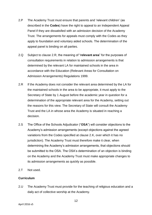- 2.P The Academy Trust must ensure that parents and 'relevant children' (as described in the **Codes**) have the right to appeal to an Independent Appeal Panel if they are dissatisfied with an admission decision of the Academy Trust. The arrangements for appeals must comply with the Codes as they apply to foundation and voluntary aided schools. The determination of the appeal panel is binding on all parties.
- 2.Q Subject to clause 2.R, the meaning of "**relevant area**" for the purposes of consultation requirements in relation to admission arrangements is that determined by the relevant LA for maintained schools in the area in accordance with the Education (Relevant Areas for Consultation on Admission Arrangements) Regulations 1999.
- 2.R If the Academy does not consider the relevant area determined by the LA for the maintained schools in the area to be appropriate, it must apply to the Secretary of State by 1 August before the academic year in question for a determination of the appropriate relevant area for the Academy, setting out the reasons for this view. The Secretary of State will consult the Academy Trust and the LA in whose area the Academy is situated in reaching a decision.
- 2.S The Office of the Schools Adjudicator ("**OSA**") will consider objections to the Academy's admission arrangements (except objections against the agreed variations from the Codes specified at clause 2.K, over which it has no jurisdiction). The Academy Trust must therefore make it clear, when determining the Academy's admission arrangements, that objections should be submitted to the OSA. The OSA's determination of an objection is binding on the Academy and the Academy Trust must make appropriate changes to its admission arrangements as quickly as possible.
- 2.T Not used.

# <span id="page-11-0"></span>**Curriculum**

2.U The Academy Trust must provide for the teaching of religious education and a daily act of collective worship at the Academy.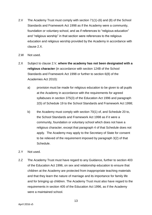- 2.V The Academy Trust must comply with section 71(1)-(6) and (8) of the School Standards and Framework Act 1998 as if the Academy were a community, foundation or voluntary school, and as if references to "religious education" and "religious worship" in that section were references to the religious education and religious worship provided by the Academy in accordance with clause 2.X.
- 2.W Not used.
- 2.X Subject to clause 2.V, **where the academy has not been designated with a religious character** (in accordance with section 124B of the School Standards and Framework Act 1998 or further to section 6(8) of the Academies Act 2010):
	- a) provision must be made for religious education to be given to all pupils at the Academy in accordance with the requirements for agreed syllabuses in section 375(3) of the Education Act 1996 and paragraph 2(5) of Schedule 19 to the School Standards and Framework Act 1998;
	- b) the Academy must comply with section 70(1) of, and Schedule 20 to, the School Standards and Framework Act 1998 as if it were a community, foundation or voluntary school which does not have a religious character, except that paragraph 4 of that Schedule does not apply. The Academy may apply to the Secretary of State for consent to be relieved of the requirement imposed by paragraph 3(2) of that Schedule.
- 2.Y Not used.
- 2.Z The Academy Trust must have regard to any Guidance, further to section 403 of the Education Act 1996, on sex and relationship education to ensure that children at the Academy are protected from inappropriate teaching materials and that they learn the nature of marriage and its importance for family life and for bringing up children. The Academy Trust must also have regard to the requirements in section 405 of the Education Act 1996, as if the Academy were a maintained school.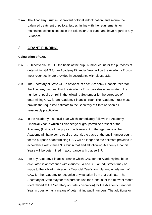2.AA The Academy Trust must prevent political indoctrination, and secure the balanced treatment of political issues, in line with the requirements for maintained schools set out in the Education Act 1996, and have regard to any Guidance.

# <span id="page-13-0"></span>3. **GRANT FUNDING**

# <span id="page-13-1"></span>**Calculation of GAG**

- 3.A Subject to clause 3.C, the basis of the pupil number count for the purposes of determining GAG for an Academy Financial Year will be the Academy Trust's most recent estimate provided in accordance with clause 3.B.
- 3.B The Secretary of State will, in advance of each Academy Financial Year for the Academy, request that the Academy Trust provides an estimate of the number of pupils on roll in the following September for the purposes of determining GAG for an Academy Financial Year. The Academy Trust must provide the requested estimate to the Secretary of State as soon as reasonably practicable.
- 3.C In the Academy Financial Year which immediately follows the Academy Financial Year in which all planned year groups will be present at the Academy (that is, all the pupil cohorts relevant to the age range of the Academy will have some pupils present), the basis of the pupil number count for the purpose of determining GAG will no longer be the estimate provided in accordance with clause 3.B, but in that and all following Academy Financial Years will be determined in accordance with clause 3.F.
- 3.D For any Academy Financial Year in which GAG for the Academy has been calculated in accordance with clauses 3.A and 3.B, an adjustment may be made to the following Academy Financial Year's formula funding element of GAG for the Academy to recognise any variation from that estimate. The Secretary of State may for this purpose use the Census for the relevant month (determined at the Secretary of State's discretion) for the Academy Financial Year in question as a means of determining pupil numbers. The additional or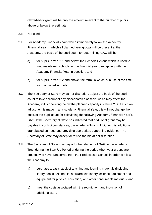clawed-back grant will be only the amount relevant to the number of pupils above or below that estimate.

- 3.E Not used.
- 3.F For Academy Financial Years which immediately follow the Academy Financial Year in which all planned year groups will be present at the Academy, the basis of the pupil count for determining GAG will be:
	- a) for pupils in Year 11 and below, the Schools Census which is used to fund maintained schools for the financial year overlapping with the Academy Financial Year in question; and
	- b) for pupils in Year 12 and above, the formula which is in use at the time for maintained schools
- 3.G The Secretary of State may, at her discretion, adjust the basis of the pupil count to take account of any diseconomies of scale which may affect the Academy if it is operating below the planned capacity in clause 2.B. If such an adjustment is made in any Academy Financial Year, this will not change the basis of the pupil count for calculating the following Academy Financial Year's GAG. If the Secretary of State has indicated that additional grant may be payable in such circumstances, the Academy Trust will bid for this additional grant based on need and providing appropriate supporting evidence. The Secretary of State may accept or refuse the bid at her discretion.
- 3.H The Secretary of State may pay a further element of GAG to the Academy Trust during the Start-Up Period or during the period when year groups are present who have transferred from the Predecessor School, in order to allow the Academy to:
	- a) purchase a basic stock of teaching and learning materials (including library books, text books, software, stationery, science equipment and equipment for physical education) and other consumable materials; and
	- b) meet the costs associated with the recruitment and induction of additional staff.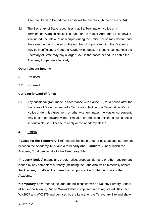After the Start-Up Period these costs will be met through the ordinary GAG.

3.I The Secretary of State recognises that if a Termination Notice or a Termination Warning Notice is served, or the Master Agreement is otherwise terminated, the intake of new pupils during the notice period may decline and therefore payments based on the number of pupils attending the Academy may be insufficient to meet the Academy's needs. In these circumstances the Secretary of State may pay a larger GAG in the notice period, to enable the Academy to operate effectively.

# <span id="page-15-0"></span>**Other relevant funding**

- 3.J Not used.
- 3.K Not used.

# **Carrying forward of funds**

3.L Any additional grant made in accordance with clause 3.I, for a period after the Secretary of State has served a Termination Notice or a Termination Warning Notice under this Agreement, or otherwise terminates the Master Agreement, may be carried forward without limitation or deduction until the circumstances set out in clause 3.I cease to apply or the Academy closes.

# <span id="page-15-1"></span>**4. LAND**

**"Lease for the Temporary Site"** means the lease or other occupational agreement between the Academy Trust and a third party (the "**Landlord**") under which the Academy Trust derives title to the Temporary Site.

"**Property Notice**" means any order, notice, proposal, demand or other requirement issued by any competent authority (including the Landlord) which materially affects the Academy Trust's ability to use the Temporary Site for the purposes of the Academy.

**"Temporary Site"** means the land and buildings known as Rokeby Primary School at Anderson Avenue, Rugby, Warwickshire comprised in two registered titles being WK2607 and WK2375 and demised by the Lease for the Temporary Site and shown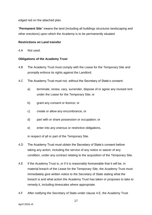edged red on the attached plan.

"**Permanent Site**" means the land (including all buildings structures landscaping and other erections) upon which the Academy is to be permanently situated.

# **Restrictions on Land transfer**

4.A Not used.

#### **Obligations of the Academy Trust**

- 4.B The Academy Trust must comply with the Lease for the Temporary Site and promptly enforce its rights against the Landlord.
- 4.C The Academy Trust must not, without the Secretary of State's consent:
	- a) terminate, renew, vary, surrender, dispose of or agree any revised rent under the Lease for the Temporary Site; or
	- b) grant any consent or licence; or
	- c) create or allow any encumbrance; or
	- d) part with or share possession or occupation; or
	- e) enter into any onerous or restrictive obligations,

in respect of all or part of the Temporary Site.

- 4.D The Academy Trust must obtain the Secretary of State's consent before taking any action, including the service of any notice or waiver of any condition, under any contract relating to the acquisition of the Temporary Site.
- 4.E If the Academy Trust is, or if it is reasonably foreseeable that it will be, in material breach of the Lease for the Temporary Site, the Academy Trust must immediately give written notice to the Secretary of State stating what the breach is and what action the Academy Trust has taken or proposes to take to remedy it, including timescales where appropriate.
- 4.F After notifying the Secretary of State under clause 4.E, the Academy Trust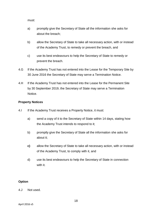must:

- a) promptly give the Secretary of State all the information she asks for about the breach;
- b) allow the Secretary of State to take all necessary action, with or instead of the Academy Trust, to remedy or prevent the breach, and
- c) use its best endeavours to help the Secretary of State to remedy or prevent the breach.
- 4.G If the Academy Trust has not entered into the Lease for the Temporary Site by 30 June 2016 the Secretary of State may serve a Termination Notice.
- 4.H If the Academy Trust has not entered into the Lease for the Permanent Site by 30 September 2019, the Secretary of State may serve a Termination Notice.

# **Property Notices**

- 4.I If the Academy Trust receives a Property Notice, it must:
	- a) send a copy of it to the Secretary of State within 14 days, stating how the Academy Trust intends to respond to it;
	- b) promptly give the Secretary of State all the information she asks for about it;
	- **c)** allow the Secretary of State to take all necessary action, with or instead of the Academy Trust, to comply with it, and
	- d) use its best endeavours to help the Secretary of State in connection with it.

# **Option**

#### 4.J Not used.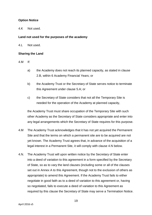# **Option Notice**

4.K Not used.

## **Land not used for the purposes of the academy**

4.L Not used.

#### **Sharing the Land**

4.M If:

- a) the Academy does not reach its planned capacity, as stated in clause 2.B, within 6 Academy Financial Years; or
- b) the Academy Trust or the Secretary of State serves notice to terminate this Agreement under clause 5.A; or
- c) the Secretary of State considers that not all the Temporary Site is needed for the operation of the Academy at planned capacity,

the Academy Trust must share occupation of the Temporary Site with such other Academy as the Secretary of State considers appropriate and enter into any legal arrangements which the Secretary of State requires for this purpose.

- 4.M The Academy Trust acknowledges that it has not yet acquired the Permanent Site and that the terms on which a permanent site are to be acquired are not yet known. The Academy Trust agrees that, in advance of the acquisition of a legal interest in a Permanent Site, it will comply with clause 4.N below.
- 4.N. The Academy Trust will upon written notice by the Secretary of State enter into a deed of variation to this agreement in a form specified by the Secretary of State, so as to vary the land clauses (including some or all of the clauses set out in Annex A to this Agreement, though not to the exclusion of others as appropriate) to amend this Agreement. If the Academy Trust fails to either negotiate in good faith as to a deed of variation to this agreement or, having so negotiated, fails to execute a deed of variation to this Agreement as required by this clause the Secretary of State may serve a Termination Notice.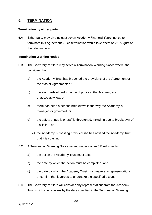# <span id="page-19-0"></span>**5. TERMINATION**

#### <span id="page-19-1"></span>**Termination by either party**

5.A Either party may give at least seven Academy Financial Years' notice to terminate this Agreement. Such termination would take effect on 31 August of the relevant year.

## <span id="page-19-2"></span>**Termination Warning Notice**

- 5.B The Secretary of State may serve a Termination Warning Notice where she considers that:
	- a) the Academy Trust has breached the provisions of this Agreement or the Master Agreement; or
	- b) the standards of performance of pupils at the Academy are unacceptably low; or
	- c) there has been a serious breakdown in the way the Academy is managed or governed; or
	- d) the safety of pupils or staff is threatened, including due to breakdown of discipline; or
		- e) the Academy is coasting provided she has notified the Academy Trust that it is coasting.
- 5.C A Termination Warning Notice served under clause 5.B will specify:
	- a) the action the Academy Trust must take;
	- b) the date by which the action must be completed; and
	- c) the date by which the Academy Trust must make any representations, or confirm that it agrees to undertake the specified action.
- 5.D The Secretary of State will consider any representations from the Academy Trust which she receives by the date specified in the Termination Warning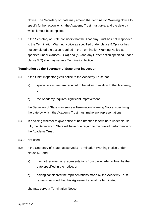Notice. The Secretary of State may amend the Termination Warning Notice to specify further action which the Academy Trust must take, and the date by which it must be completed.

5.E If the Secretary of State considers that the Academy Trust has not responded to the Termination Warning Notice as specified under clause 5.C(c), or has not completed the action required in the Termination Warning Notice as specified under clauses 5.C(a) and (b) (and any further action specified under clause 5.D) she may serve a Termination Notice.

#### <span id="page-20-0"></span>**Termination by the Secretary of State after inspection**

- 5.F If the Chief Inspector gives notice to the Academy Trust that:
	- a) special measures are required to be taken in relation to the Academy; or
	- b) the Academy requires significant improvement

the Secretary of State may serve a Termination Warning Notice, specifying the date by which the Academy Trust must make any representations.

- 5.G In deciding whether to give notice of her intention to terminate under clause 5.F, the Secretary of State will have due regard to the overall performance of the Academy Trust.
- 5.G.1 Not used.
- 5.H If the Secretary of State has served a Termination Warning Notice under clause 5.F and:
	- a) has not received any representations from the Academy Trust by the date specified in the notice; or
	- b) having considered the representations made by the Academy Trust remains satisfied that this Agreement should be terminated;

she may serve a Termination Notice.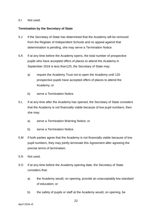#### 5.I Not used.

#### <span id="page-21-0"></span>**Termination by the Secretary of State**

- 5.J If the Secretary of State has determined that the Academy will be removed from the Register of Independent Schools and no appeal against that determination is pending, she may serve a Termination Notice.
- 5.K If at any time before the Academy opens, the total number of prospective pupils who have accepted offers of places to attend the Academy in September 2016 is less than120, the Secretary of State may:
	- a) require the Academy Trust not to open the Academy until 120 prospective pupils have accepted offers of places to attend the Academy; or
	- b) serve a Termination Notice.
- 5.L If at any time after the Academy has opened, the Secretary of State considers that the Academy is not financially viable because of low pupil numbers, then she may:
	- a) serve a Termination Warning Notice; or
	- b) serve a Termination Notice.
- 5.M If both parties agree that the Academy is not financially viable because of low pupil numbers, they may jointly terminate this Agreement after agreeing the precise terms of termination.
- 5.N Not used.
- 5.O If at any time before the Academy opening date, the Secretary of State considers that:
	- a) the Academy would, on opening, provide an unacceptably low standard of education; or
	- b) the safety of pupils or staff at the Academy would, on opening, be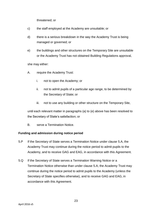threatened; or

- c) the staff employed at the Academy are unsuitable; or
- d) there is a serious breakdown in the way the Academy Trust is being managed or governed; or
- e) the buildings and other structures on the Temporary Site are unsuitable or the Academy Trust has not obtained Building Regulations approval,

she may either:

- A. require the Academy Trust:
	- i. not to open the Academy; or
	- ii. not to admit pupils of a particular age range, to be determined by the Secretary of State; or
	- iii. not to use any building or other structure on the Temporary Site,

until each relevant matter in paragraphs (a) to (e) above has been resolved to the Secretary of State's satisfaction; or

B. serve a Termination Notice.

# <span id="page-22-0"></span>**Funding and admission during notice period**

- 5.P If the Secretary of State serves a Termination Notice under clause 5.A, the Academy Trust may continue during the notice period to admit pupils to the Academy, and to receive GAG and EAG, in accordance with this Agreement.
- <span id="page-22-1"></span>5.Q If the Secretary of State serves a Termination Warning Notice or a Termination Notice otherwise than under clause 5.A, the Academy Trust may continue during the notice period to admit pupils to the Academy (unless the Secretary of State specifies otherwise), and to receive GAG and EAG, in accordance with this Agreement.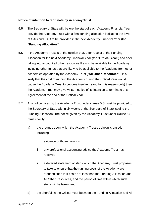## **Notice of intention to terminate by Academy Trust**

- 5.R The Secretary of State will, before the start of each Academy Financial Year, provide the Academy Trust with a final funding allocation indicating the level of GAG and EAG to be provided in the next Academy Financial Year (the **"Funding Allocation").**
- 5.S If the Academy Trust is of the opinion that, after receipt of the Funding Allocation for the next Academy Financial Year (the "**Critical Year**") and after taking into account all other resources likely to be available to the Academy, including other funds that are likely to be available to the Academy from other academies operated by the Academy Trust ("**All Other Resources**"), it is likely that the cost of running the Academy during the Critical Year would cause the Academy Trust to become insolvent (and for this reason only) then the Academy Trust may give written notice of its intention to terminate this Agreement at the end of the Critical Year.
- 5.T Any notice given by the Academy Trust under clause 5.S must be provided to the Secretary of State within six weeks of the Secretary of State issuing the Funding Allocation. The notice given by the Academy Trust under clause 5.S must specify:
	- a) the grounds upon which the Academy Trust's opinion is based, including:
		- i. evidence of those grounds;
		- ii. any professional accounting advice the Academy Trust has received;
		- iii. a detailed statement of steps which the Academy Trust proposes to take to ensure that the running costs of the Academy are reduced such that costs are less than the Funding Allocation and All Other Resources, and the period of time within which such steps will be taken; and
	- b) the shortfall in the Critical Year between the Funding Allocation and All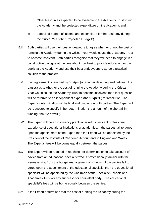Other Resources expected to be available to the Academy Trust to run the Academy and the projected expenditure on the Academy; and

- c) a detailed budget of income and expenditure for the Academy during the Critical Year (the "**Projected Budget**").
- 5.U Both parties will use their best endeavours to agree whether or not the cost of running the Academy during the Critical Year would cause the Academy Trust to become insolvent. Both parties recognise that they will need to engage in a constructive dialogue at the time about how best to provide education for the pupils at the Academy and use their best endeavours to agree a practical solution to the problem.
- 5.V If no agreement is reached by 30 April (or another date if agreed between the parties) as to whether the cost of running the Academy during the Critical Year would cause the Academy Trust to become insolvent, then that question will be referred to an independent expert (the "**Expert**") for resolution. The Expert's determination will be final and binding on both parties. The Expert will be requested to specify in her determination the amount of the shortfall in funding (the "**Shortfall**").
- 5.W The Expert will be an insolvency practitioner with significant professional experience of educational institutions or academies. If the parties fail to agree upon the appointment of the Expert then the Expert will be appointed by the President of the Institute of Chartered Accountants in England and Wales. The Expert's fees will be borne equally between the parties.
- 5.X The Expert will be required in reaching her determination to take account of advice from an educational specialist who is professionally familiar with the issues arising from the budget management of schools. If the parties fail to agree upon the appointment of the educational specialist then the educational specialist will be appointed by the Chairman of the Specialist Schools and Academies Trust (or any successor or equivalent body). The educational specialist's fees will be borne equally between the parties.
- 5.Y If the Expert determines that the cost of running the Academy during the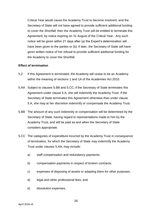Critical Year would cause the Academy Trust to become insolvent, and the Secretary of State will not have agreed to provide sufficient additional funding to cover the Shortfall, then the Academy Trust will be entitled to terminate this Agreement, by notice expiring on 31 August of the Critical Year. Any such notice will be given within 21 days after (a) the Expert's determination will have been given to the parties or (b), if later, the Secretary of State will have given written notice of her refusal to provide sufficient additional funding for the Academy to cover the Shortfall.

#### <span id="page-25-0"></span>**Effect of termination**

- 5.Z If this Agreement is terminated, the Academy will cease to be an Academy within the meaning of sections 1 and 1A of the Academies Act 2010.
- 5.AA Subject to clauses 5.BB and 5.CC, if the Secretary of State terminates this Agreement under clause 5.A, she will indemnify the Academy Trust. If the Secretary of State terminates this Agreement otherwise than under clause 5.A, she may at her discretion indemnify or compensate the Academy Trust.
- 5.BB The amount of any such indemnity or compensation will be determined by the Secretary of State, having regard to representations made to him by the Academy Trust, and will be paid as and when the Secretary of State considers appropriate.
- 5.CC The categories of expenditure incurred by the Academy Trust in consequence of termination, for which the Secretary of State may indemnify the Academy Trust under clauses 5.AA, may include:
	- a) staff compensation and redundancy payments;
	- b) compensation payments in respect of broken contracts;
	- c) expenses of disposing of assets or adapting them for other purposes;
	- d) legal and other professional fees; and
	- e) dissolution expenses.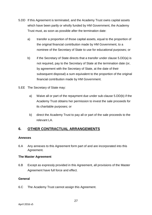- 5.DD If this Agreement is terminated, and the Academy Trust owns capital assets which have been partly or wholly funded by HM Government, the Academy Trust must, as soon as possible after the termination date:
	- a) transfer a proportion of those capital assets, equal to the proportion of the original financial contribution made by HM Government, to a nominee of the Secretary of State to use for educational purposes; or
	- b) if the Secretary of State directs that a transfer under clause 5.DD(a) is not required, pay to the Secretary of State at the termination date (or, by agreement with the Secretary of State, at the date of their subsequent disposal) a sum equivalent to the proportion of the original financial contribution made by HM Government.
- 5.EE The Secretary of State may:
	- a) Waive all or part of the repayment due under sub-clause 5.DD(b) if the Academy Trust obtains her permission to invest the sale proceeds for its charitable purposes; or
	- b) direct the Academy Trust to pay all or part of the sale proceeds to the relevant LA.

# <span id="page-26-0"></span>**6. OTHER CONTRACTUAL ARRANGEMENTS**

# <span id="page-26-1"></span>**Annexes**

6.A Any annexes to this Agreement form part of and are incorporated into this Agreement.

# <span id="page-26-2"></span>**The Master Agreement**

6.B Except as expressly provided in this Agreement, all provisions of the Master Agreement have full force and effect.

# <span id="page-26-3"></span>**General**

6.C The Academy Trust cannot assign this Agreement.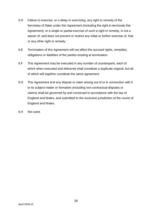- 6.D Failure to exercise, or a delay in exercising, any right or remedy of the Secretary of State under this Agreement (including the right to terminate this Agreement), or a single or partial exercise of such a right or remedy, is not a waiver of, and does not prevent or restrict any initial or further exercise of, that or any other right or remedy.
- 6.E Termination of this Agreement will not affect the accrued rights, remedies, obligations or liabilities of the parties existing at termination.
- 6.F This Agreement may be executed in any number of counterparts, each of which when executed and delivered shall constitute a duplicate original, but all of which will together constitute the same agreement.
- 6.G This Agreement and any dispute or claim arising out of or in connection with it or its subject matter or formation (including non-contractual disputes or claims) shall be governed by and construed in accordance with the law of England and Wales, and submitted to the exclusive jurisdiction of the courts of England and Wales.
- 6.H Not used.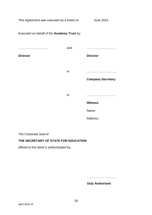This Agreement was executed as a Deed on June 2016

Executed on behalf of the **Academy Trust** by: ……………………….. **Director** and ……………………….. **Director** or ……………………….. **Company Secretary** or ……………………….. **Witness** Name: Address:

The Corporate Seal of

# **THE SECRETARY OF STATE FOR EDUCATION**

affixed to this deed is authenticated by:

………………………..

**Duly Authorised**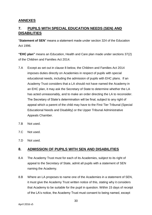# <span id="page-29-0"></span>**ANNEXES**

# <span id="page-29-1"></span>**7. PUPILS WITH SPECIAL EDUCATION NEEDS (SEN) AND DISABILITIES**

"**Statement of SEN**" means a statement made under section 324 of the Education Act 1996.

**"EHC plan"** means an Education, Health and Care plan made under sections 37(2) of the Children and Families Act 2014.

- 7.A Except as set out in clause 8 below, the Children and Families Act 2014 imposes duties directly on Academies in respect of pupils with special educational needs, including the admission of pupils with EHC plans. If an Academy Trust considers that a LA should not have named the Academy in an EHC plan, it may ask the Secretary of State to determine whether the LA has acted unreasonably, and to make an order directing the LA to reconsider. The Secretary of State's determination will be final, subject to any right of appeal which a parent of the child may have to the First Tier Tribunal (Special Educational Needs and Disability) or the Upper Tribunal Administrative Appeals Chamber.
- 7.B Not used.
- 7.C Not used.
- 7.D Not used.

# <span id="page-29-2"></span>**8. ADMISSION OF PUPILS WITH SEN AND DISABILITIES**

- 8.A The Academy Trust must for each of its Academies, subject to its right of appeal to the Secretary of State, admit all pupils with a statement of SEN naming the Academy.
- 8.B Where an LA proposes to name one of the Academies in a statement of SEN, it must give the Academy Trust written notice of this, stating why it considers that Academy to be suitable for the pupil in question. Within 15 days of receipt of the LA's notice, the Academy Trust must consent to being named, except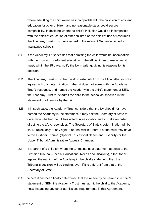where admitting the child would be incompatible with the provision of efficient education for other children, and no reasonable steps could secure compatibility. In deciding whether a child's inclusion would be incompatible with the efficient education of other children or the efficient use of resources, the Academy Trust must have regard to the relevant Guidance issued to maintained schools.

- 8.C If the Academy Trust decides that admitting the child would be incompatible with the provision of efficient education or the efficient use of resources, it must, within the 15 days, notify the LA in writing, giving its reasons for its decision.
- 8.D The Academy Trust must then seek to establish from the LA whether or not it agrees with this determination. If the LA does not agree with the Academy Trust's response, and names the Academy in the child's statement of SEN, the Academy Trust must admit the child to the school as specified in the statement or otherwise by the LA.
- 8.E If in such case, the Academy Trust considers that the LA should not have named the Academy in the statement, it may ask the Secretary of State to determine whether the LA has acted unreasonably, and to make an order directing the LA to reconsider. The Secretary of State's determination will be final, subject only to any right of appeal which a parent of the child may have to the First-tier Tribunal (Special Educational Needs and Disability) or the Upper Tribunal Administrative Appeals Chamber.
- 8.F If a parent of a child for whom the LA maintains a statement appeals to the First-tier Tribunal (Special Educational Needs and Disability), either for or against the naming of the Academy in the child's statement, then the Tribunal's decision will be binding, even if it is different from that of the Secretary of State.
- 8.G Where it has been finally determined that the Academy be named in a child's statement of SEN, the Academy Trust must admit the child to the Academy, notwithstanding any other admissions requirements in this Agreement.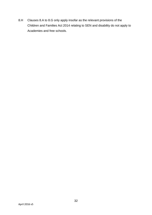8.H Clauses 8.A to 8.G only apply insofar as the relevant provisions of the Children and Families Act 2014 relating to SEN and disability do not apply to Academies and free schools.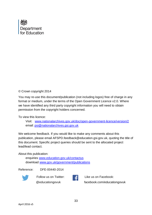

© Crown copyright 2014

You may re-use this document/publication (not including logos) free of charge in any format or medium, under the terms of the Open Government Licence v2.0. Where we have identified any third party copyright information you will need to obtain permission from the copyright holders concerned.

To view this licence:

Visit: [www.nationalarchives.gov.uk/doc/open-government-licence/version/2](http://www.nationalarchives.gov.uk/doc/open-government-licence/version/2) email: [psi@nationalarchives.gsi.gov.uk](mailto:psi@nationalarchives.gsi.gov.uk)

We welcome feedback. If you would like to make any comments about this publication, please email [AFSPD.feedback@education.gsi.gov.uk,](mailto:AFSPD.feedback@education.gsi.gov.uk) quoting the title of this document. Specific project queries should be sent to the allocated project lead/lead contact.

About this publication:

enquiries [www.education.gov.uk/contactus](http://www.education.gov.uk/contactus) download [www.gov.uk/government/publications](http://www.gov.uk/government/publications)

Reference: DFE-00440-2014



Follow us on Twitter: [@educationgovuk](http://twitter.com/educationgovuk)



Like us on Facebook: [facebook.com/educationgovuk](http://www.facebook.com/educationgovuk)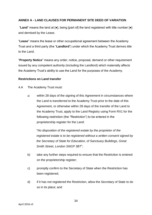# **ANNEX A - LAND CLAUSES FOR PERMANENT SITE DEED OF VARIATION**

"**Land**" means the land at [●], being [part of] the land registered with title number [●] and demised by the Lease.

"**Lease**" means the lease or other occupational agreement between the Academy Trust and a third party (the "**Landlord**") under which the Academy Trust derives title to the Land.

"**Property Notice**" means any order, notice, proposal, demand or other requirement issued by any competent authority (including the Landlord) which materially affects the Academy Trust's ability to use the Land for the purposes of the Academy.

## **Restrictions on Land transfer**

4.A The Academy Trust must:

a) within 28 days of the signing of this Agreement in circumstances where the Land is transferred to the Academy Trust prior to the date of this Agreement, or otherwise within 28 days of the transfer of the Land to the Academy Trust, apply to the Land Registry using Form RX1 for the following restriction (the "Restriction") to be entered in the proprietorship register for the Land:

"*No disposition of the registered estate by the proprietor of the registered estate is to be registered without a written consent signed by the Secretary of State for Education, of Sanctuary Buildings, Great Smith Street, London SW1P 3BT*";

- b) take any further steps required to ensure that the Restriction is entered on the proprietorship register;
- c) promptly confirm to the Secretary of State when the Restriction has been registered;
- d) if it has not registered the Restriction, allow the Secretary of State to do so in its place; and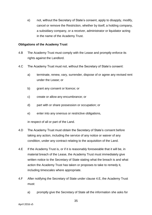e) not, without the Secretary of State's consent, apply to disapply, modify, cancel or remove the Restriction, whether by itself, a holding company, a subsidiary company, or a receiver, administrator or liquidator acting in the name of the Academy Trust.

#### **Obligations of the Academy Trust**

- 4.B The Academy Trust must comply with the Lease and promptly enforce its rights against the Landlord.
- 4.C The Academy Trust must not, without the Secretary of State's consent:
	- a) terminate, renew, vary, surrender, dispose of or agree any revised rent under the Lease; or
	- b) grant any consent or licence; or
	- c) create or allow any encumbrance; or
	- d) part with or share possession or occupation; or
	- e) enter into any onerous or restrictive obligations,

in respect of all or part of the Land.

- 4.D The Academy Trust must obtain the Secretary of State's consent before taking any action, including the service of any notice or waiver of any condition, under any contract relating to the acquisition of the Land.
- 4.E If the Academy Trust is, or if it is reasonably foreseeable that it will be, in material breach of the Lease, the Academy Trust must immediately give written notice to the Secretary of State stating what the breach is and what action the Academy Trust has taken or proposes to take to remedy it, including timescales where appropriate.
- 4.F After notifying the Secretary of State under clause 4.E, the Academy Trust must:
	- a) promptly give the Secretary of State all the information she asks for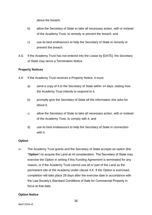about the breach;

- b) allow the Secretary of State to take all necessary action, with or instead of the Academy Trust, to remedy or prevent the breach, and
- c) use its best endeavours to help the Secretary of State to remedy or prevent the breach.
- 4.G If the Academy Trust has not entered into the Lease by [DATE], the Secretary of State may serve a Termination Notice.

# **Property Notices**

- 4.H If the Academy Trust receives a Property Notice, it must:
	- a) send a copy of it to the Secretary of State within 14 days, stating how the Academy Trust intends to respond to it;
	- b) promptly give the Secretary of State all the information she asks for about it;
	- c) allow the Secretary of State to take all necessary action, with or instead of the Academy Trust, to comply with it, and
	- d) use its best endeavours to help the Secretary of State in connection with it.

# **Option**

4.I The Academy Trust grants and the Secretary of State accepts an option (the "**Option**") to acquire the Land at nil consideration. The Secretary of State may exercise the Option in writing if this Funding Agreement is terminated for any reason, or if the Academy Trust cannot use all or part of the Land as the permanent site of the Academy under clause 4.K. If the Option is exercised, completion will take place 28 days after the exercise date in accordance with the Law Society's Standard Conditions of Sale for Commercial Property in force at that date.

# **Option Notice**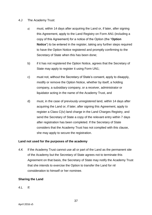## 4.J The Academy Trust:

- a) must, within 14 days after acquiring the Land or, if later, after signing this Agreement, apply to the Land Registry on Form AN1 (including a copy of this Agreement) for a notice of the Option (the "**Option Notice**") to be entered in the register, taking any further steps required to have the Option Notice registered and promptly confirming to the Secretary of State when this has been done;
- b) if it has not registered the Option Notice, agrees that the Secretary of State may apply to register it using Form UN1;
- c) must not, without the Secretary of State's consent, apply to disapply, modify or remove the Option Notice, whether by itself, a holding company, a subsidiary company, or a receiver, administrator or liquidator acting in the name of the Academy Trust, and
- d) must, in the case of previously unregistered land, within 14 days after acquiring the Land or, if later, after signing this Agreement, apply to register a Class C(iv) land charge in the Land Charges Registry, and send the Secretary of State a copy of the relevant entry within 7 days after registration has been completed. If the Secretary of State considers that the Academy Trust has not complied with this clause, she may apply to secure the registration.

# **Land not used for the purposes of the academy**

4.K If the Academy Trust cannot use all or part of the Land as the permanent site of the Academy but the Secretary of State agrees not to terminate this Agreement on that basis, the Secretary of State may notify the Academy Trust that she intends to exercise the Option to transfer the Land for nil consideration to himself or her nominee.

# **Sharing the Land**

4.L If: